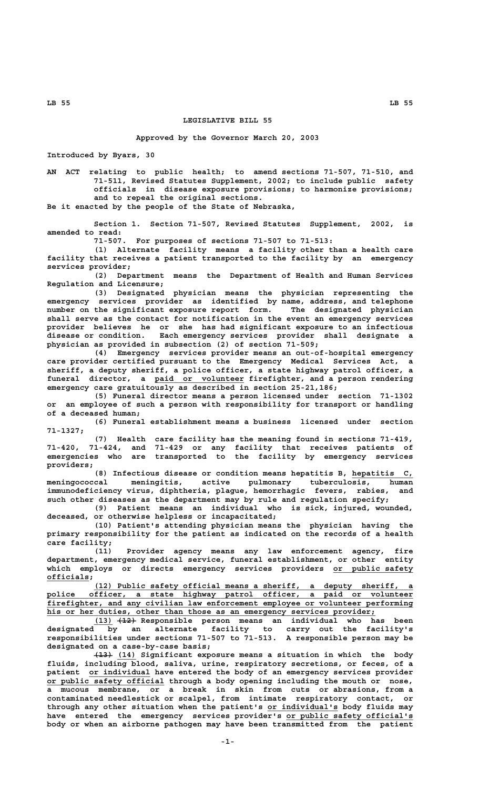## **LEGISLATIVE BILL 55**

## **Approved by the Governor March 20, 2003**

**Introduced by Byars, 30**

**AN ACT relating to public health; to amend sections 71-507, 71-510, and 71-511, Revised Statutes Supplement, 2002; to include public safety officials in disease exposure provisions; to harmonize provisions; and to repeal the original sections.**

**Be it enacted by the people of the State of Nebraska,**

**Section 1. Section 71-507, Revised Statutes Supplement, 2002, is amended to read:**

**71-507. For purposes of sections 71-507 to 71-513:**

**(1) Alternate facility means a facility other than a health care facility that receives a patient transported to the facility by an emergency services provider;**

**(2) Department means the Department of Health and Human Services Regulation and Licensure;**

**(3) Designated physician means the physician representing the emergency services provider as identified by name, address, and telephone number on the significant exposure report form. The designated physician shall serve as the contact for notification in the event an emergency services provider believes he or she has had significant exposure to an infectious disease or condition. Each emergency services provider shall designate a physician as provided in subsection (2) of section 71-509;**

**(4) Emergency services provider means an out-of-hospital emergency care provider certified pursuant to the Emergency Medical Services Act, a sheriff, a deputy sheriff, a police officer, a state highway patrol officer, a \_\_\_\_\_\_\_\_\_\_\_\_\_\_\_\_\_\_\_ funeral director, a paid or volunteer firefighter, and a person rendering emergency care gratuitously as described in section 25-21,186;**

**(5) Funeral director means a person licensed under section 71-1302 or an employee of such a person with responsibility for transport or handling of a deceased human;**

**(6) Funeral establishment means a business licensed under section 71-1327;**

**(7) Health care facility has the meaning found in sections 71-419, 71-420, 71-424, and 71-429 or any facility that receives patients of emergencies who are transported to the facility by emergency services providers;**

**(8) Infectious disease or condition means hepatitis B, hepatitis C, \_\_\_\_\_\_\_\_\_\_\_\_\_ meningococcal meningitis, active pulmonary tuberculosis, human immunodeficiency virus, diphtheria, plague, hemorrhagic fevers, rabies, and such other diseases as the department may by rule and regulation specify;**

**(9) Patient means an individual who is sick, injured, wounded, deceased, or otherwise helpless or incapacitated;**

**(10) Patient's attending physician means the physician having the primary responsibility for the patient as indicated on the records of a health care facility;**

**(11) Provider agency means any law enforcement agency, fire department, emergency medical service, funeral establishment, or other entity** which employs or directs emergency services providers or public safety  **officials; \_\_\_\_\_\_\_\_\_**

 **\_\_\_\_\_\_\_\_\_\_\_\_\_\_\_\_\_\_\_\_\_\_\_\_\_\_\_\_\_\_\_\_\_\_\_\_\_\_\_\_\_\_\_\_\_\_\_\_\_\_\_\_\_\_\_\_\_\_\_\_\_\_\_\_\_\_\_\_ (12) Public safety official means a sheriff, a deputy sheriff, a \_\_\_\_\_\_\_\_\_\_\_\_\_\_\_\_\_\_\_\_\_\_\_\_\_\_\_\_\_\_\_\_\_\_\_\_\_\_\_\_\_\_\_\_\_\_\_\_\_\_\_\_\_\_\_\_\_\_\_\_\_\_\_\_\_\_\_\_\_\_\_\_\_\_\_\_\_\_ police officer, a state highway patrol officer, a paid or volunteer \_\_\_\_\_\_\_\_\_\_\_\_\_\_\_\_\_\_\_\_\_\_\_\_\_\_\_\_\_\_\_\_\_\_\_\_\_\_\_\_\_\_\_\_\_\_\_\_\_\_\_\_\_\_\_\_\_\_\_\_\_\_\_\_\_\_\_\_\_\_\_\_\_\_\_\_\_\_ firefighter, and any civilian law enforcement employee or volunteer performing** his or her duties, other than those as an emergency services provider;

 **\_\_\_\_ ———— (13) (12) Responsible person means an individual who has been designated by an alternate facility to carry out the facility's responsibilities under sections 71-507 to 71-513. A responsible person may be designated on a case-by-case basis;**

 **———— \_\_\_\_ (13) (14) Significant exposure means a situation in which the body fluids, including blood, saliva, urine, respiratory secretions, or feces, of a \_\_\_\_\_\_\_\_\_\_\_\_\_ patient or individual have entered the body of an emergency services provider \_\_\_\_\_\_\_\_\_\_\_\_\_\_\_\_\_\_\_\_\_\_\_\_\_ or public safety official through a body opening including the mouth or nose, a mucous membrane, or a break in skin from cuts or abrasions, from a contaminated needlestick or scalpel, from intimate respiratory contact, or through any other situation when the patient's or individual's body fluids may \_\_\_\_\_\_\_\_\_\_\_\_\_\_\_** have entered the emergency services provider's or public safety official's **body or when an airborne pathogen may have been transmitted from the patient**